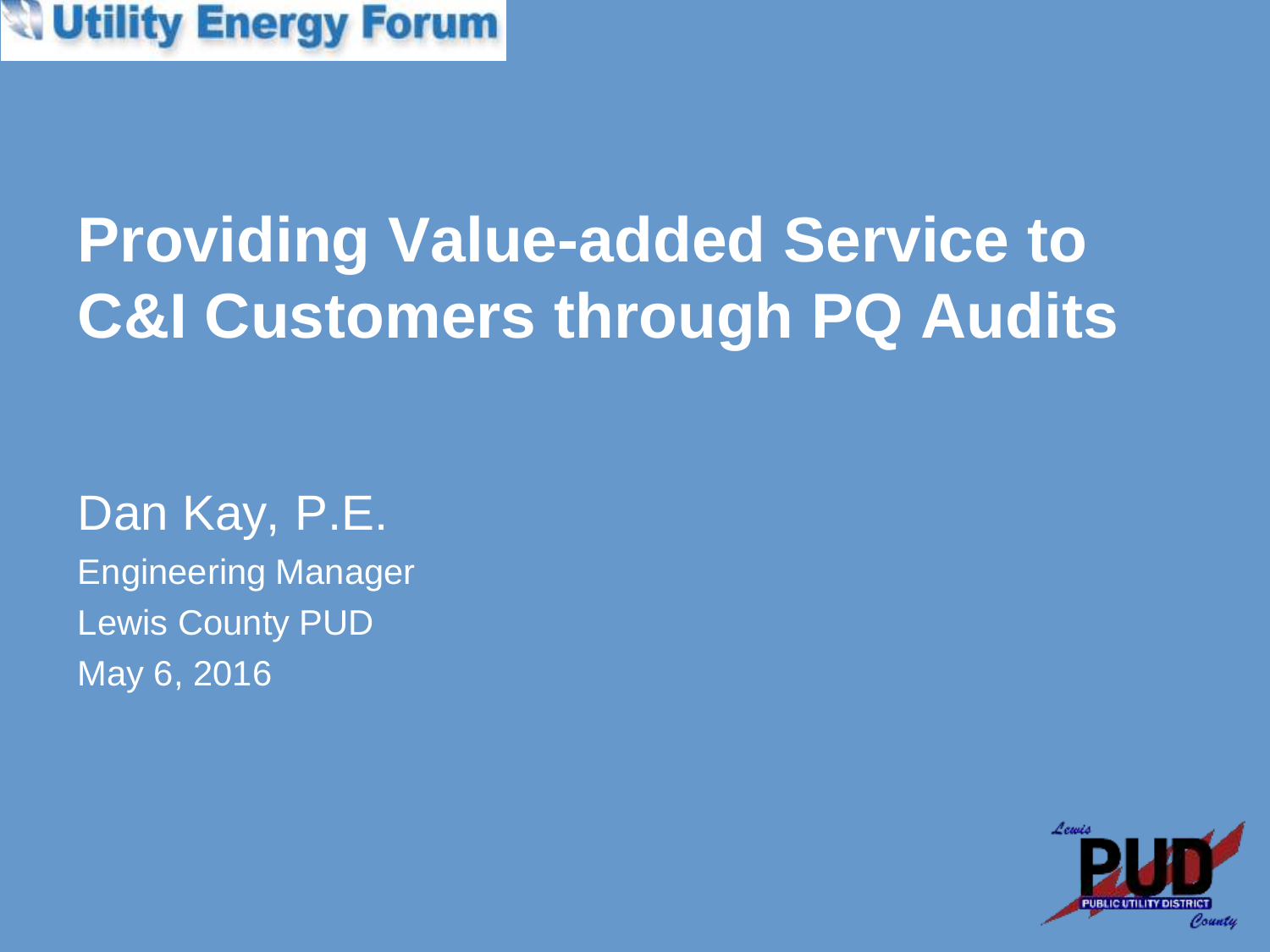

# **Providing Value-added Service to C&I Customers through PQ Audits**

#### Dan Kay, P.E.

Engineering Manager Lewis County PUD May 6, 2016

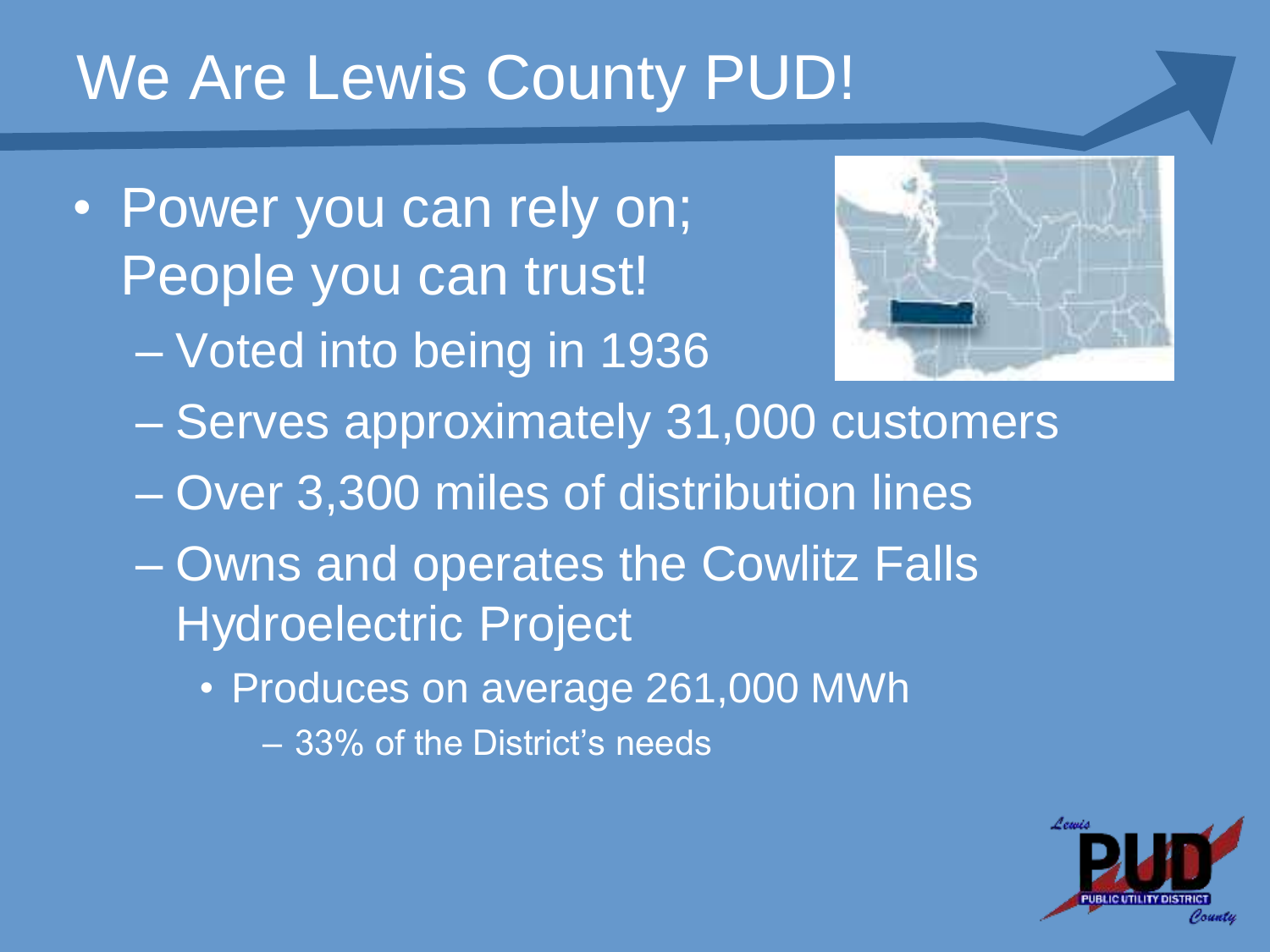### We Are Lewis County PUD!

- Power you can rely on; People you can trust!
	- Voted into being in 1936



- Serves approximately 31,000 customers
- Over 3,300 miles of distribution lines
- Owns and operates the Cowlitz Falls Hydroelectric Project
	- Produces on average 261,000 MWh
		- 33% of the District's needs

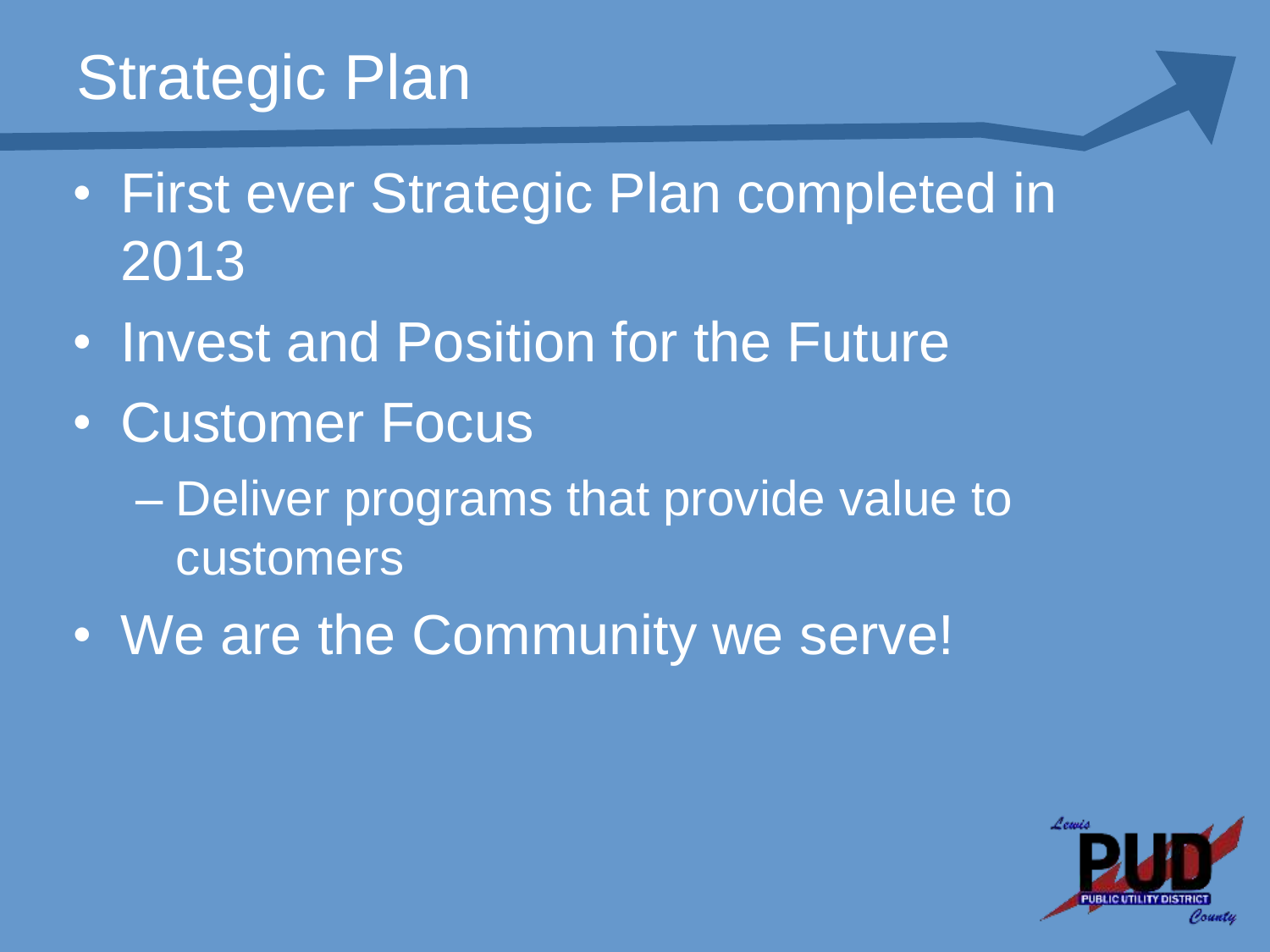## Strategic Plan

- First ever Strategic Plan completed in 2013
- Invest and Position for the Future
- Customer Focus
	- Deliver programs that provide value to customers
- We are the Community we serve!

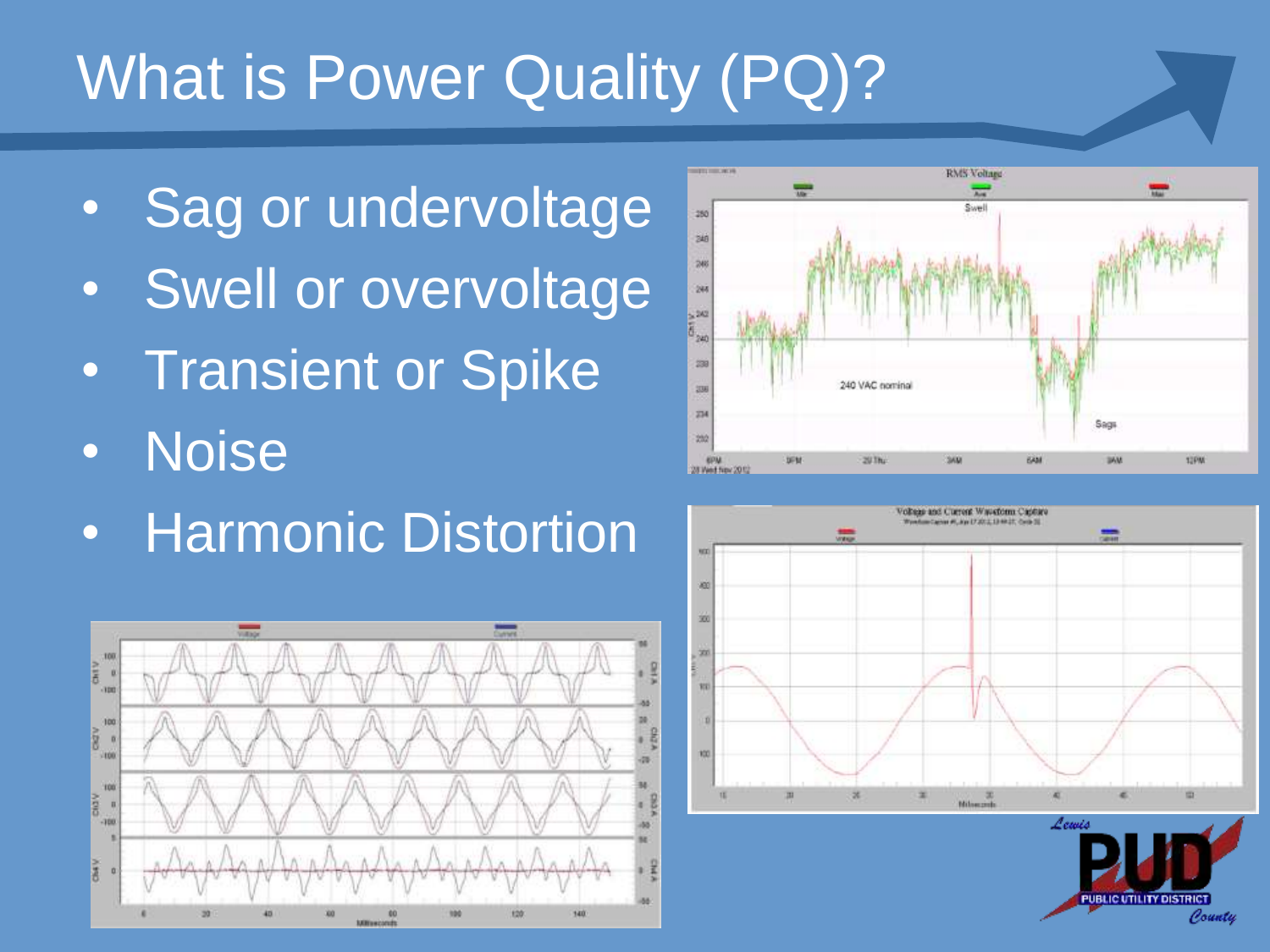# What is Power Quality (PQ)?

- **Sag or undervoltage**
- Swell or overvoltage
- Transient or Spike
- Noise
- Harmonic Distortion







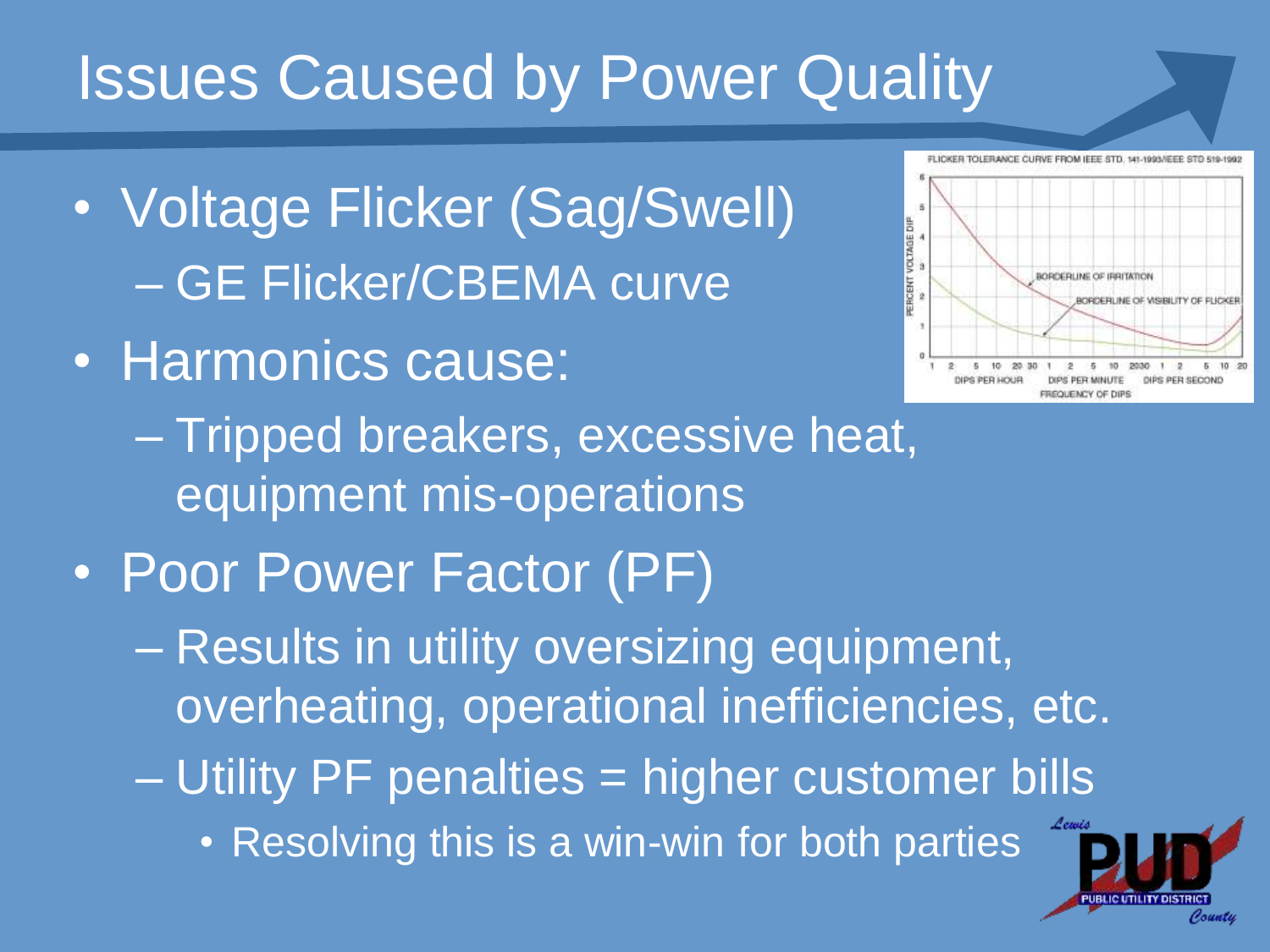#### Issues Caused by Power Quality

- Voltage Flicker (Sag/Swell) – GE Flicker/CBEMA curve
- Harmonics cause:



– Tripped breakers, excessive heat, equipment mis-operations

- Poor Power Factor (PF)
	- Results in utility oversizing equipment, overheating, operational inefficiencies, etc.
	- Utility PF penalties = higher customer bills
		- Resolving this is a win-win for both parties

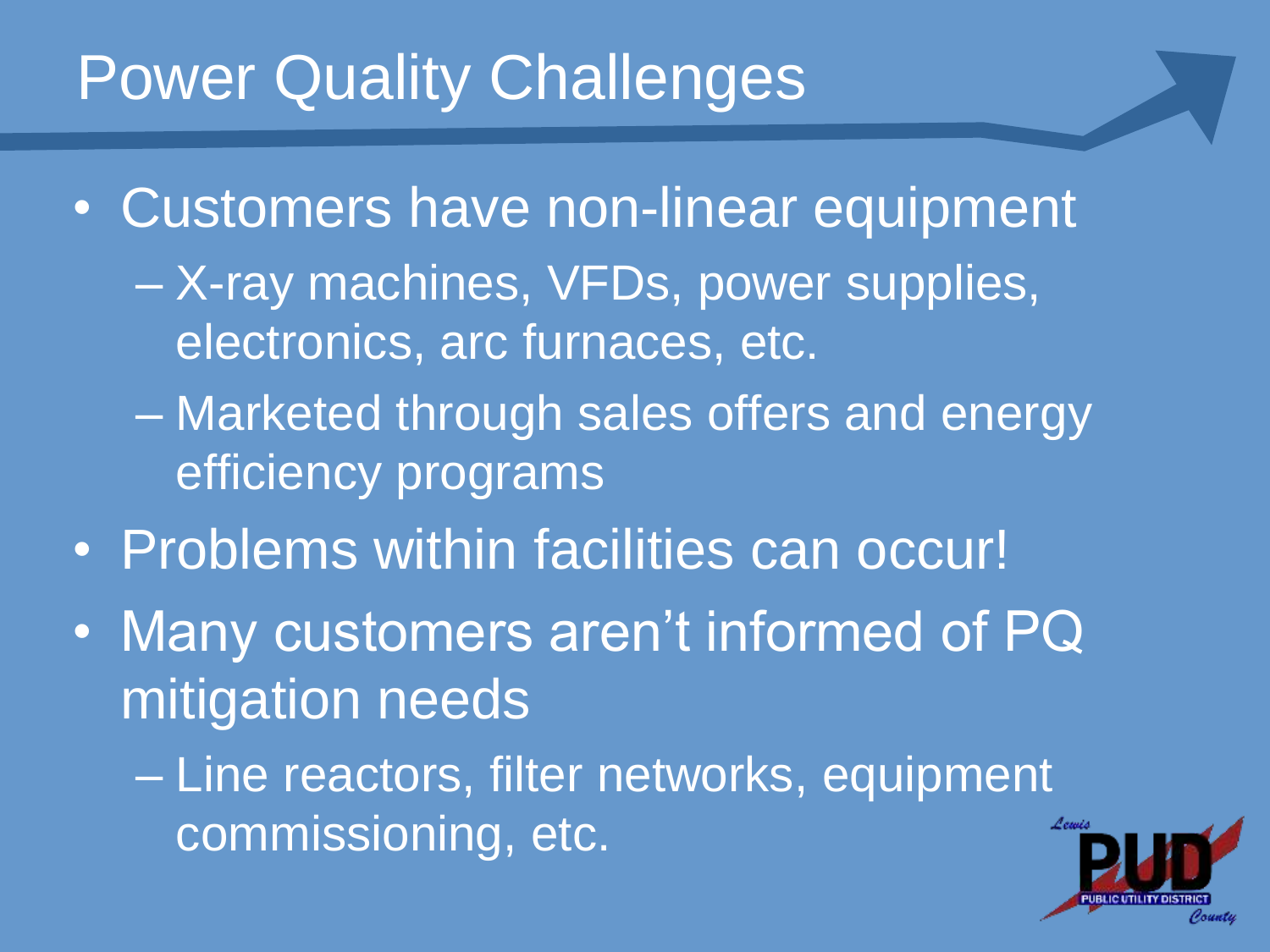#### **Power Quality Challenges**

- Customers have non-linear equipment
	- X-ray machines, VFDs, power supplies, electronics, arc furnaces, etc.
	- Marketed through sales offers and energy efficiency programs
- Problems within facilities can occur!
- Many customers aren't informed of PQ mitigation needs
	- Line reactors, filter networks, equipment commissioning, etc.

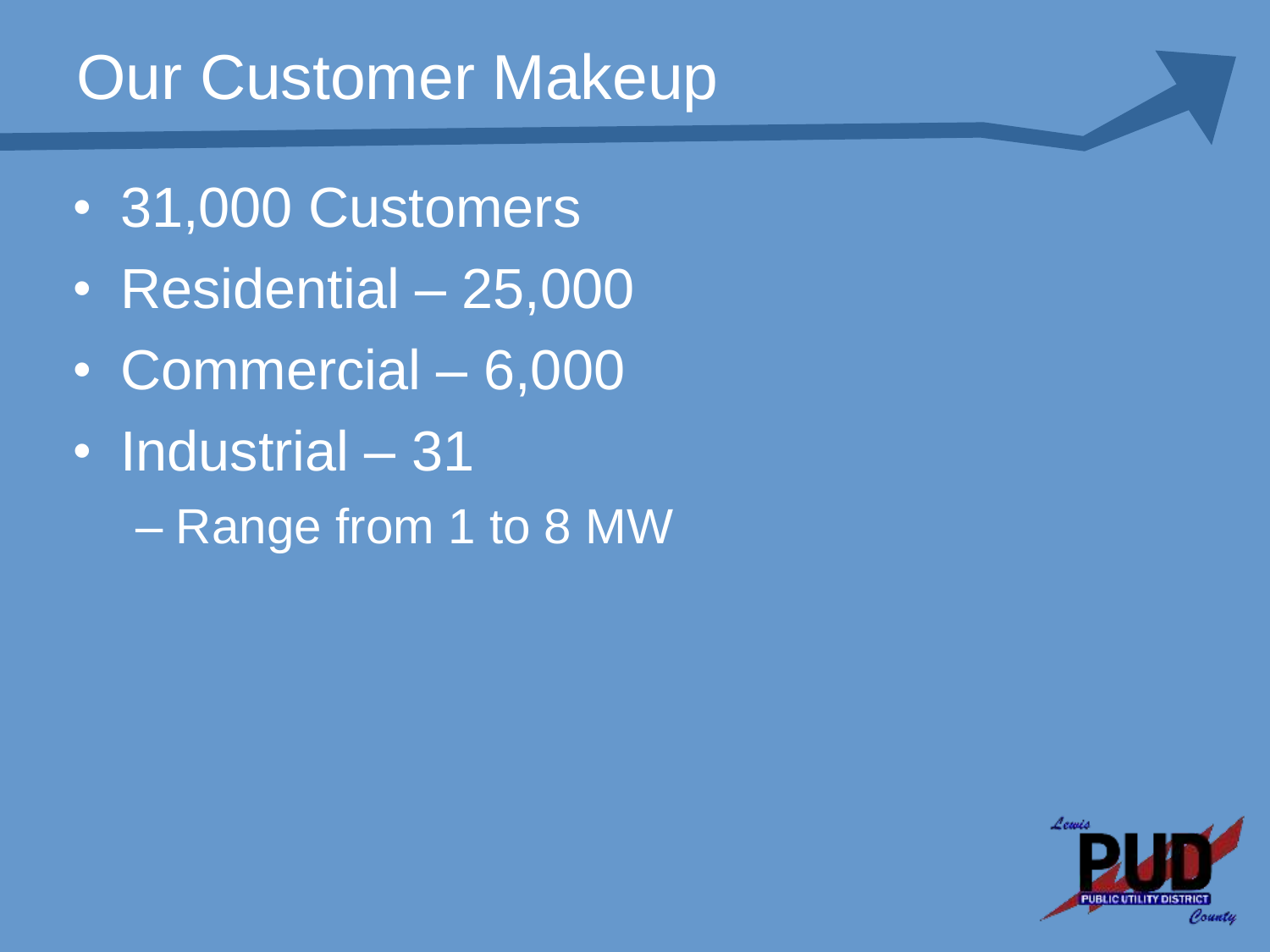### Our Customer Makeup

- 31,000 Customers
- Residential 25,000
- Commercial 6,000
- Industrial 31
	- Range from 1 to 8 MW

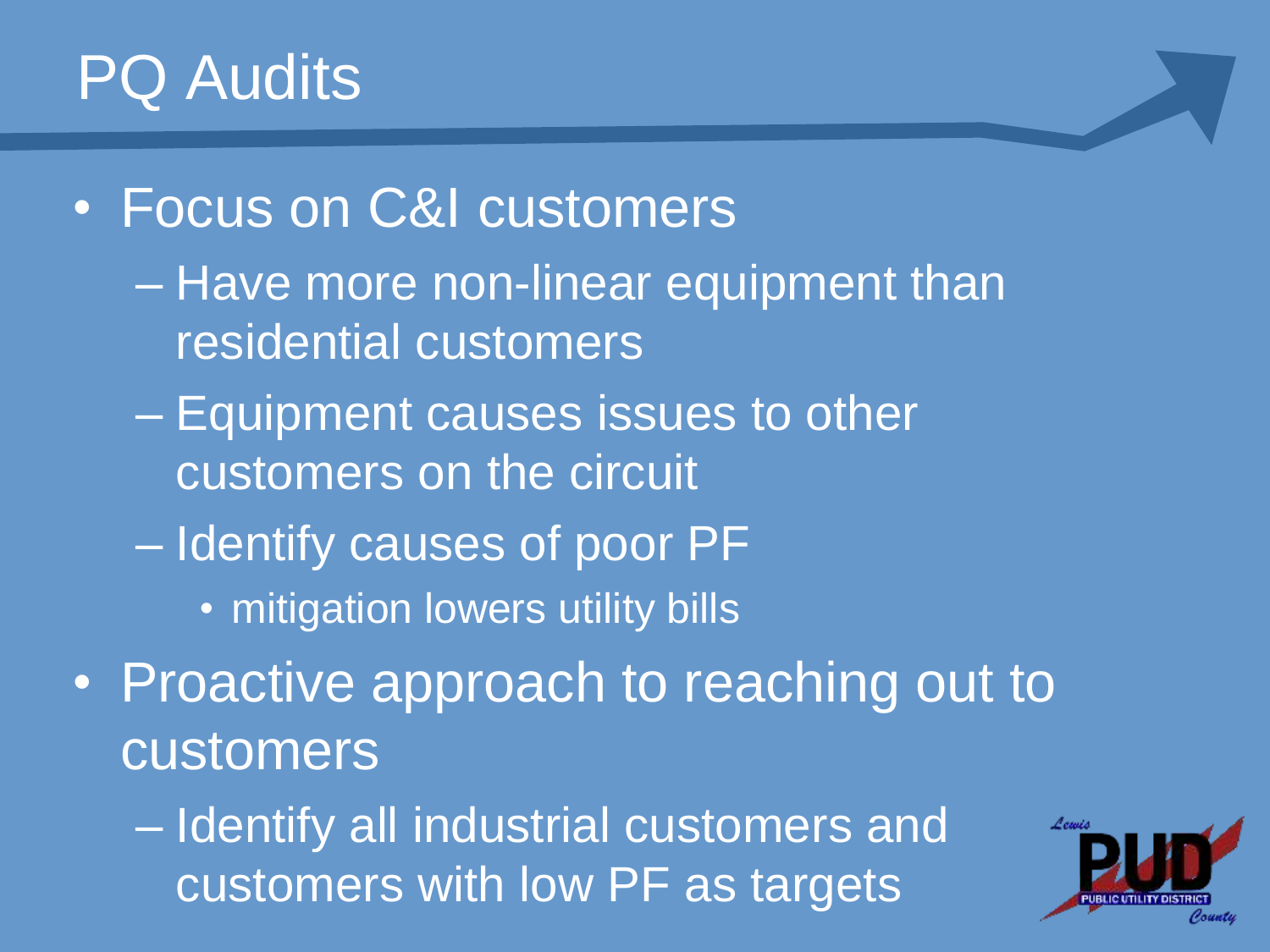#### PQ Audits

• Focus on C&I customers

- Have more non-linear equipment than residential customers
- Equipment causes issues to other customers on the circuit
- Identify causes of poor PF
	- mitigation lowers utility bills
- Proactive approach to reaching out to customers

– Identify all industrial customers and customers with low PF as targets

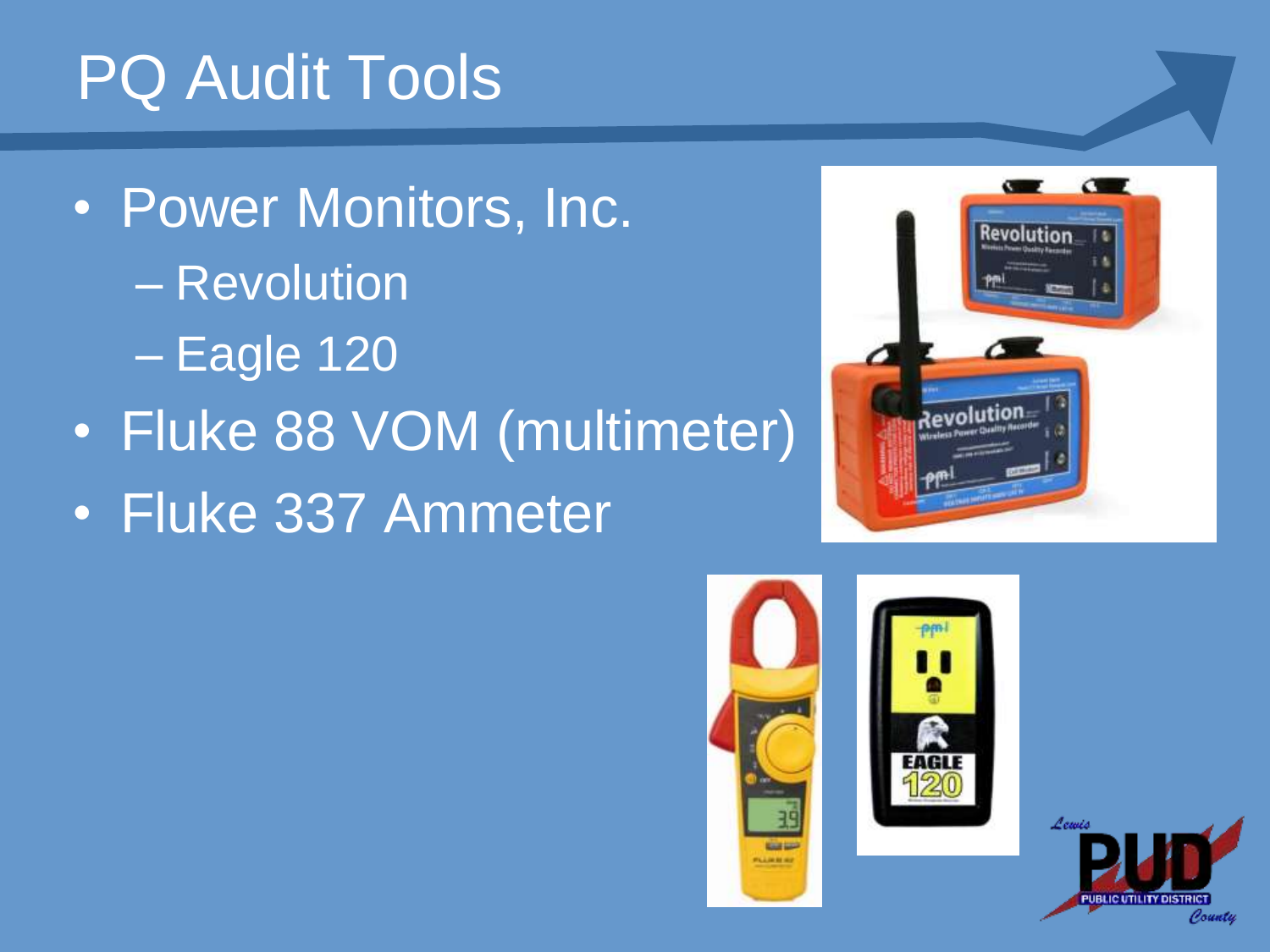# PQ Audit Tools

• Power Monitors, Inc. – Revolution – Eagle 120 • Fluke 88 VOM (multimeter) • Fluke 337 Ammeter







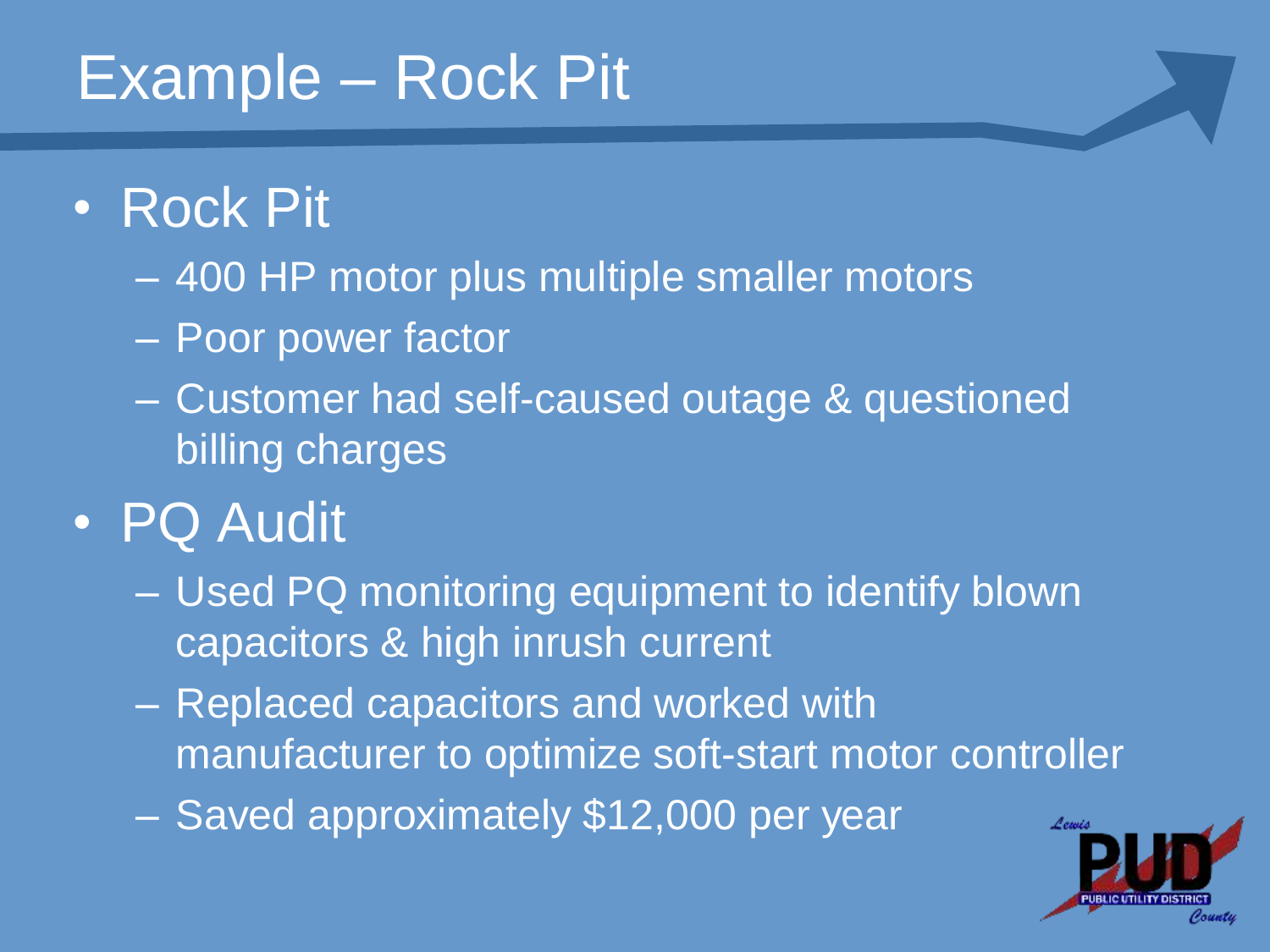### Example – Rock Pit

#### • Rock Pit

- 400 HP motor plus multiple smaller motors
- Poor power factor
- Customer had self-caused outage & questioned billing charges

#### • PQ Audit

- Used PQ monitoring equipment to identify blown capacitors & high inrush current
- Replaced capacitors and worked with manufacturer to optimize soft-start motor controller
- Saved approximately \$12,000 per year

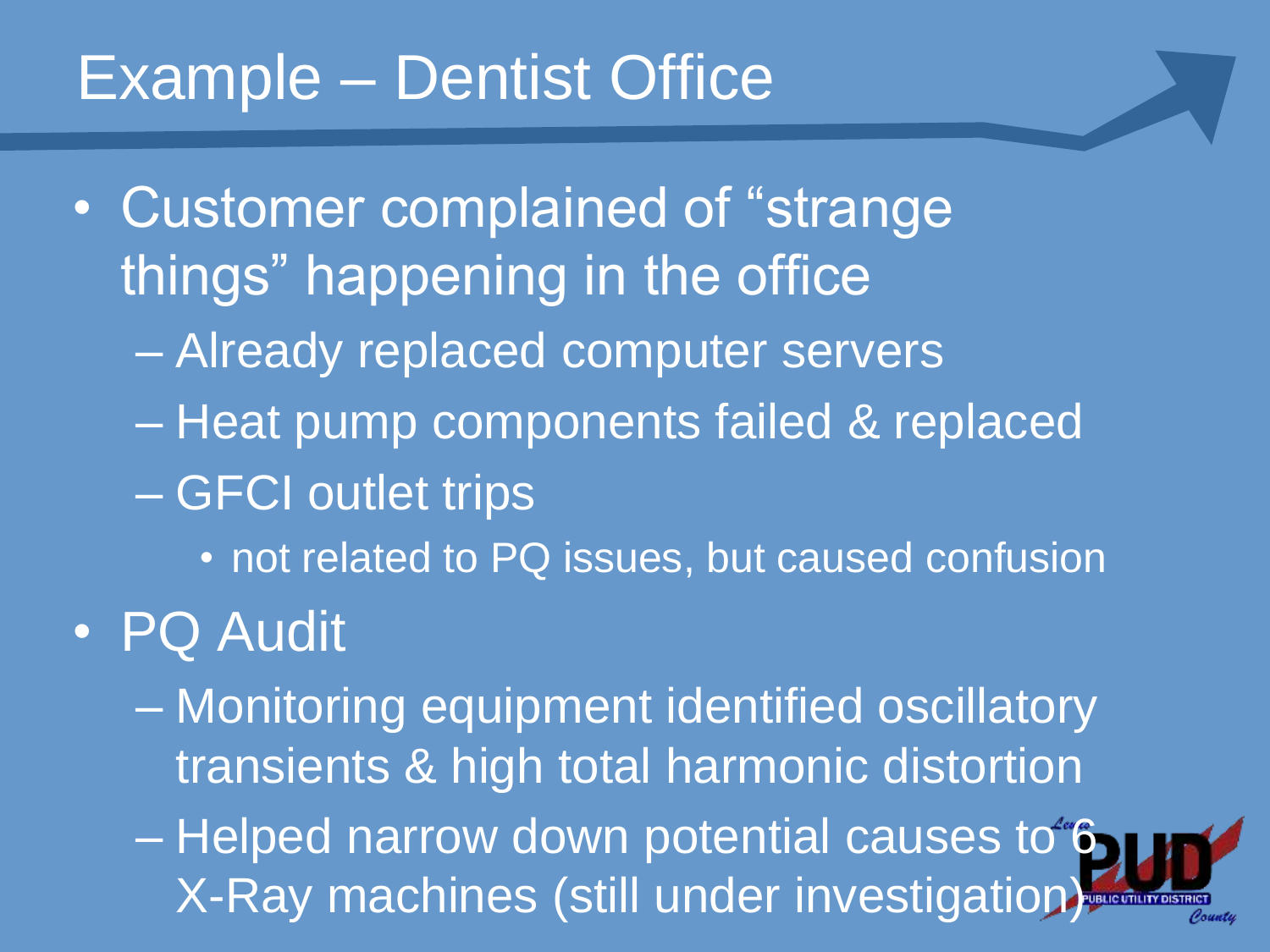#### Example – Dentist Office

- Customer complained of "strange things" happening in the office
	- Already replaced computer servers
	- Heat pump components failed & replaced
	- GFCI outlet trips
		- not related to PQ issues, but caused confusion
- PQ Audit
	- Monitoring equipment identified oscillatory transients & high total harmonic distortion
	- Helped narrow down potential causes to 6 X-Ray machines (still under investigation)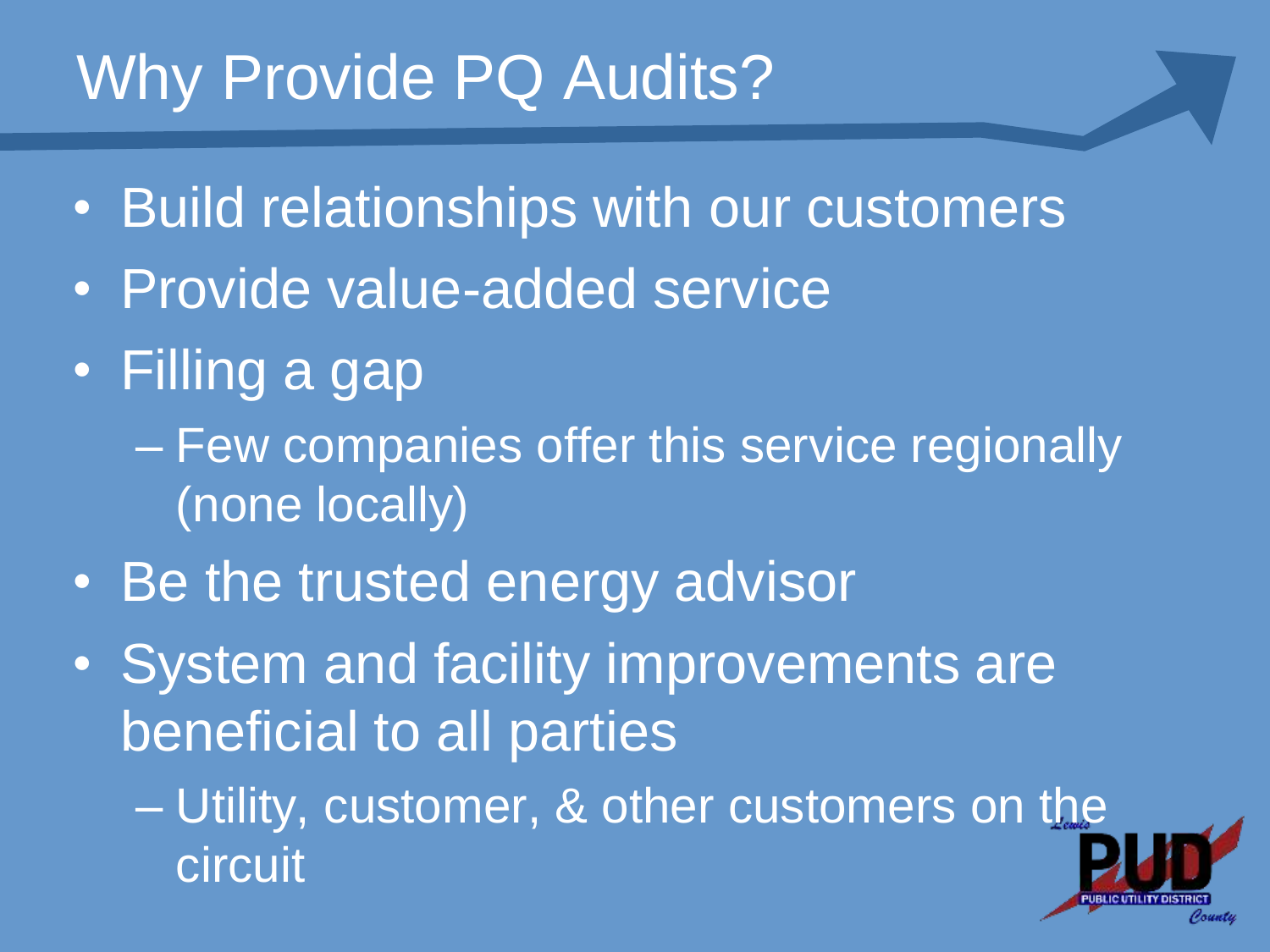### Why Provide PQ Audits?

- Build relationships with our customers
- Provide value-added service
- Filling a gap
	- Few companies offer this service regionally (none locally)
- Be the trusted energy advisor
- System and facility improvements are beneficial to all parties
	- Utility, customer, & other customers on the circuit